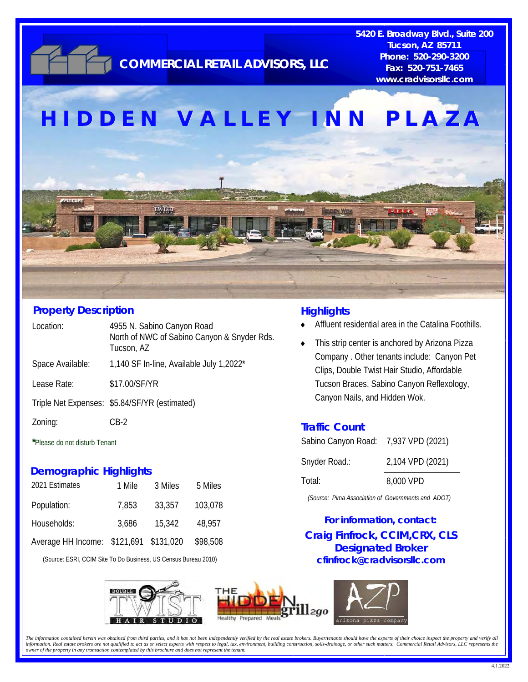

### **Property Description**

| Location:        | 4955 N. Sabino Canyon Road<br>North of NWC of Sabino Canyon & Snyder Rds.<br>Tucson, AZ |
|------------------|-----------------------------------------------------------------------------------------|
| Space Available: | 1,140 SF In-line, Available July 1,2022*                                                |
| Lease Rate:      | \$17.00/SF/YR                                                                           |
|                  | Triple Net Expenses: \$5.84/SF/YR (estimated)                                           |
| Zoning:          | CB-2                                                                                    |
|                  |                                                                                         |

**\***Please do not disturb Tenant

### **Demographic Highlights**

| 2021 Estimates                         | 1 Mile | 3 Miles | 5 Miles  |
|----------------------------------------|--------|---------|----------|
| Population:                            | 7,853  | 33,357  | 103,078  |
| Households:                            | 3,686  | 15,342  | 48.957   |
| Average HH Income: \$121,691 \$131,020 |        |         | \$98,508 |

(Source: ESRI, CCIM Site To Do Business, US Census Bureau 2010)







**Fax: 520-751-7465 COMMERCIAL RETAIL ADVISORS, LLC** 

**5420 E. Broadway Blvd., Suite 200 Tucson, AZ 85711 Phone: 520-290-3200** 

#### **Highlights**

- Affluent residential area in the Catalina Foothills.
- This strip center is anchored by Arizona Pizza Company . Other tenants include: Canyon Pet Clips, Double Twist Hair Studio, Affordable Tucson Braces, Sabino Canyon Reflexology, Canyon Nails, and Hidden Wok.

#### **Traffic Count**

| Sabino Canyon Road: 7,937 VPD (2021) |                  |
|--------------------------------------|------------------|
| Snyder Road.:                        | 2,104 VPD (2021) |
| Total:                               | 8,000 VPD        |

*(Source: Pima Association of Governments and ADOT)* 

**Craig Finfrock, CCIM,CRX, CLS Designated Broker cfinfrock@cradvisorsllc.com For information, contact:** 

The information contained herein was obtained from third parties, and it has not been independently verified by the real estate brokers. Buyer/tenants should have the experts of their choice inspect the property and verify information. Real estate brokers are not qualified to act as or select experts with respect to legal, tax, environment, building construction, soils drainage, or other such matters. Commercial Retail Advisors, LLC represen *owner of the property in any transaction contemplated by this brochure and does not represent the tenant.*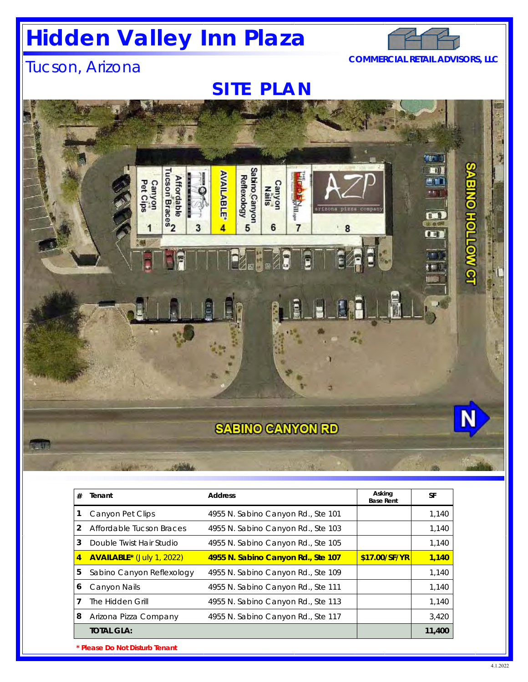# **Hidden Valley Inn Plaza**



### Tucson, Arizona **COMMERCIAL RETAIL ADVISORS, LLC**

**SITE PLAN** 



| # | Tenant                           | <b>Address</b>                     | Asking<br><b>Base Rent</b> | <b>SF</b> |  |  |  |
|---|----------------------------------|------------------------------------|----------------------------|-----------|--|--|--|
|   | Canyon Pet Clips                 | 4955 N. Sabino Canyon Rd., Ste 101 |                            | 1,140     |  |  |  |
| 2 | Affordable Tucson Braces         | 4955 N. Sabino Canyon Rd., Ste 103 |                            | 1,140     |  |  |  |
| 3 | Double Twist Hair Studio         | 4955 N. Sabino Canyon Rd., Ste 105 |                            | 1,140     |  |  |  |
| 4 | <b>AVAILABLE*</b> (July 1, 2022) | 4955 N. Sabino Canyon Rd., Ste 107 | \$17.00/SF/YR              | 1,140     |  |  |  |
| 5 | Sabino Canyon Reflexology        | 4955 N. Sabino Canyon Rd., Ste 109 |                            | 1,140     |  |  |  |
| 6 | Canyon Nails                     | 4955 N. Sabino Canyon Rd., Ste 111 |                            | 1,140     |  |  |  |
|   | The Hidden Grill                 | 4955 N. Sabino Canyon Rd., Ste 113 |                            | 1,140     |  |  |  |
| 8 | Arizona Pizza Company            | 4955 N. Sabino Canyon Rd., Ste 117 |                            | 3,420     |  |  |  |
|   | <b>TOTAL GLA:</b>                |                                    |                            | 11,400    |  |  |  |
|   | * Please Do Not Disturb Tenant   |                                    |                            |           |  |  |  |